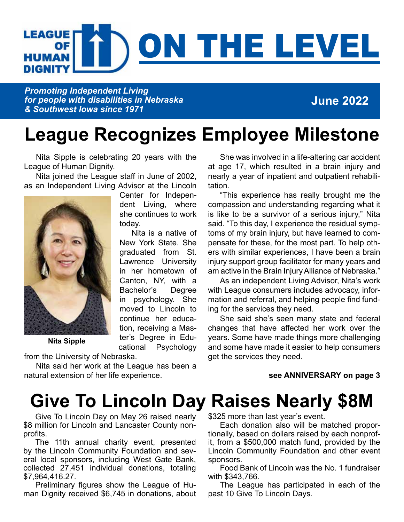### **LEAGUE** THE LEVEL **OF HUMAN** DIGNITY

*Promoting Independent Living for people with disabilities in Nebraska & Southwest Iowa since 1971*

### **June 2022**

# **League Recognizes Employee Milestone**

Nita Sipple is celebrating 20 years with the League of Human Dignity.

Nita joined the League staff in June of 2002, as an Independent Living Advisor at the Lincoln



**Nita Sipple**

Center for Independent Living, where she continues to work today.

Nita is a native of New York State. She graduated from St. Lawrence University in her hometown of Canton, NY, with a Bachelor's Degree in psychology. She moved to Lincoln to continue her education, receiving a Master's Degree in Educational Psychology from the University of Nebraska.

Nita said her work at the League has been a natural extension of her life experience.

She was involved in a life-altering car accident at age 17, which resulted in a brain injury and nearly a year of inpatient and outpatient rehabilitation.

"This experience has really brought me the compassion and understanding regarding what it is like to be a survivor of a serious injury," Nita said. "To this day, I experience the residual symptoms of my brain injury, but have learned to compensate for these, for the most part. To help others with similar experiences, I have been a brain injury support group facilitator for many years and am active in the Brain Injury Alliance of Nebraska."

As an independent Living Advisor, Nita's work with League consumers includes advocacy, information and referral, and helping people find funding for the services they need.

She said she's seen many state and federal changes that have affected her work over the years. Some have made things more challenging and some have made it easier to help consumers get the services they need.

#### **see ANNIVERSARY on page 3**

# **Give To Lincoln Day Raises Nearly \$8M**

Give To Lincoln Day on May 26 raised nearly \$8 million for Lincoln and Lancaster County nonprofits.

The 11th annual charity event, presented by the Lincoln Community Foundation and several local sponsors, including West Gate Bank, collected 27,451 individual donations, totaling \$7,964,416.27.

Preliminary figures show the League of Human Dignity received \$6,745 in donations, about \$325 more than last year's event.

Each donation also will be matched proportionally, based on dollars raised by each nonprofit, from a \$500,000 match fund, provided by the Lincoln Community Foundation and other event sponsors.

Food Bank of Lincoln was the No. 1 fundraiser with \$343,766.

The League has participated in each of the past 10 Give To Lincoln Days.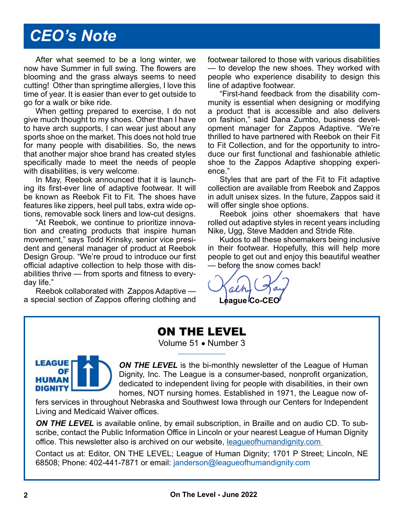## *CEO's Note*

After what seemed to be a long winter, we now have Summer in full swing. The flowers are blooming and the grass always seems to need cutting! Other than springtime allergies, I love this time of year. It is easier than ever to get outside to go for a walk or bike ride.

When getting prepared to exercise, I do not give much thought to my shoes. Other than I have to have arch supports, I can wear just about any sports shoe on the market. This does not hold true for many people with disabilities. So, the news that another major shoe brand has created styles specifically made to meet the needs of people with disabilities, is very welcome.

In May, Reebok announced that it is launching its first-ever line of adaptive footwear. It will be known as Reebok Fit to Fit. The shoes have features like zippers, heel pull tabs, extra wide options, removable sock liners and low-cut designs.

"At Reebok, we continue to prioritize innovation and creating products that inspire human movement," says Todd Krinsky, senior vice president and general manager of product at Reebok Design Group. "We're proud to introduce our first official adaptive collection to help those with disabilities thrive — from sports and fitness to everyday life."

Reebok collaborated with Zappos Adaptive a special section of Zappos offering clothing and footwear tailored to those with various disabilities — to develop the new shoes. They worked with people who experience disability to design this line of adaptive footwear.

"First-hand feedback from the disability community is essential when designing or modifying a product that is accessible and also delivers on fashion," said Dana Zumbo, business development manager for Zappos Adaptive. "We're thrilled to have partnered with Reebok on their Fit to Fit Collection, and for the opportunity to introduce our first functional and fashionable athletic shoe to the Zappos Adaptive shopping experience."

Styles that are part of the Fit to Fit adaptive collection are available from Reebok and Zappos in adult unisex sizes. In the future, Zappos said it will offer single shoe options.

Reebok joins other shoemakers that have rolled out adaptive styles in recent years including Nike, Ugg, Steve Madden and Stride Rite.

Kudos to all these shoemakers being inclusive in their footwear. Hopefully, this will help more people to get out and enjoy this beautiful weather — before the snow comes back!

League Co-CE

### ON THE LEVEL

Volume 51 · Number 3



**ON THE LEVEL** is the bi-monthly newsletter of the League of Human Dignity, Inc. The League is a consumer-based, nonprofit organization, dedicated to independent living for people with disabilities, in their own homes, NOT nursing homes. Established in 1971, the League now of-

fers services in throughout Nebraska and Southwest Iowa through our Centers for Independent Living and Medicaid Waiver offices.

**ON THE LEVEL** is available online, by email subscription, in Braille and on audio CD. To subscribe, contact the Public Information Office in Lincoln or your nearest League of Human Dignity office. This newsletter also is archived on our website, leagueofhumandignity.com

Contact us at: Editor, ON THE LEVEL; League of Human Dignity; 1701 P Street; Lincoln, NE 68508; Phone: 402-441-7871 or email: janderson@leagueofhumandignity.com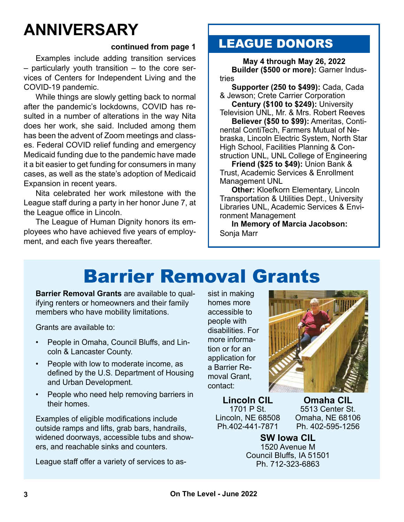# **ANNIVERSARY**

#### **continued from page 1**

Examples include adding transition services – particularly youth transition – to the core services of Centers for Independent Living and the COVID-19 pandemic.

While things are slowly getting back to normal after the pandemic's lockdowns, COVID has resulted in a number of alterations in the way Nita does her work, she said. Included among them has been the advent of Zoom meetings and classes. Federal COVID relief funding and emergency Medicaid funding due to the pandemic have made it a bit easier to get funding for consumers in many cases, as well as the state's adoption of Medicaid Expansion in recent years.

Nita celebrated her work milestone with the League staff during a party in her honor June 7, at the League office in Lincoln.

The League of Human Dignity honors its employees who have achieved five years of employment, and each five years thereafter.

### LEAGUE DONORS

**May 4 through May 26, 2022 Builder (\$500 or more):** Garner Industries

**Supporter (250 to \$499):** Cada, Cada & Jewson; Crete Carrier Corporation

**Century (\$100 to \$249):** University Television UNL, Mr. & Mrs. Robert Reeves

**Believer (\$50 to \$99):** Ameritas, Continental ContiTech, Farmers Mutual of Nebraska, Lincoln Electric System, North Star High School, Facilities Planning & Construction UNL, UNL College of Engineering

**Friend (\$25 to \$49):** Union Bank & Trust, Academic Services & Enrollment Management UNL

**Other:** Kloefkorn Elementary, Lincoln Transportation & Utilities Dept., University Libraries UNL, Academic Services & Environment Management

**In Memory of Marcia Jacobson:** Sonja Marr

# Barrier Removal Grants

**Barrier Removal Grants** are available to qualifying renters or homeowners and their family members who have mobility limitations.

Grants are available to:

- People in Omaha, Council Bluffs, and Lincoln & Lancaster County.
- People with low to moderate income, as defined by the U.S. Department of Housing and Urban Development.
- People who need help removing barriers in their homes.

Examples of eligible modifications include outside ramps and lifts, grab bars, handrails, widened doorways, accessible tubs and showers, and reachable sinks and counters.

League staff offer a variety of services to as-

sist in making homes more accessible to people with disabilities. For more information or for an application for a Barrier Removal Grant contact:



**Lincoln CIL** 1701 P St. Lincoln, NE 68508 Ph.402-441-7871

**Omaha CIL** 5513 Center St. Omaha, NE 68106 Ph. 402-595-1256

**SW Iowa CIL** 1520 Avenue M Council Bluffs, IA 51501 Ph. 712-323-6863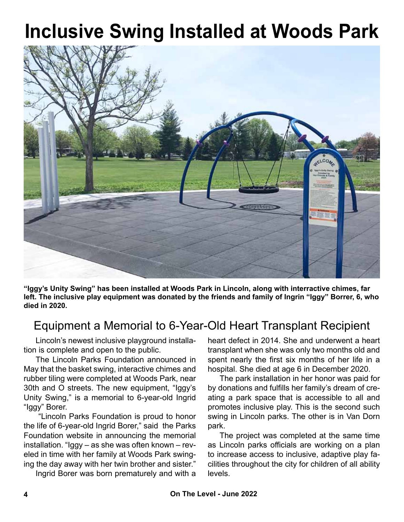# **Inclusive Swing Installed at Woods Park**



**"Iggy's Unity Swing" has been installed at Woods Park in Lincoln, along with interractive chimes, far left. The inclusive play equipment was donated by the friends and family of Ingrin "Iggy" Borrer, 6, who died in 2020.**

### Equipment a Memorial to 6-Year-Old Heart Transplant Recipient

Lincoln's newest inclusive playground installation is complete and open to the public.

The Lincoln Parks Foundation announced in May that the basket swing, interactive chimes and rubber tiling were completed at Woods Park, near 30th and O streets. The new equipment, "Iggy's Unity Swing," is a memorial to 6-year-old Ingrid "Iggy" Borer.

 "Lincoln Parks Foundation is proud to honor the life of 6-year-old Ingrid Borer," said the Parks Foundation website in announcing the memorial installation. "Iggy – as she was often known – reveled in time with her family at Woods Park swinging the day away with her twin brother and sister."

Ingrid Borer was born prematurely and with a

heart defect in 2014. She and underwent a heart transplant when she was only two months old and spent nearly the first six months of her life in a hospital. She died at age 6 in December 2020.

The park installation in her honor was paid for by donations and fulfills her family's dream of creating a park space that is accessible to all and promotes inclusive play. This is the second such swing in Lincoln parks. The other is in Van Dorn park.

The project was completed at the same time as Lincoln parks officials are working on a plan to increase access to inclusive, adaptive play facilities throughout the city for children of all ability levels.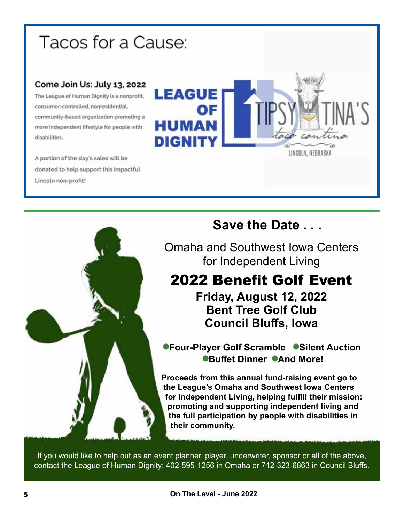# Tacos for a Cause:

#### Come Join Us: July 13, 2022

The League of Human Dignity is a nonprofit. consumer-controlled, nonresidential, community-based organization promoting a more independent lifestyle for people with disabilities.

A portion of the day's sales will be donated to help support this impactful Lincoln non-profit!





### **Save the Date . . .**

Omaha and Southwest Iowa Centers for Independent Living

## 2022 Benefit Golf Event

**Friday, August 12, 2022 Bent Tree Golf Club Council Bluffs, Iowa**

**• Four-Player Golf Scramble • Silent Auction** ●**Buffet Dinner ● And More!** 

**Proceeds from this annual fund-raising event go to the League's Omaha and Southwest Iowa Centers for Independent Living, helping fulfill their mission: promoting and supporting independent living and the full participation by people with disabilities in their community.**

If you would like to help out as an event planner, player, underwriter, sponsor or all of the above, contact the League of Human Dignity: 402-595-1256 in Omaha or 712-323-6863 in Council Bluffs.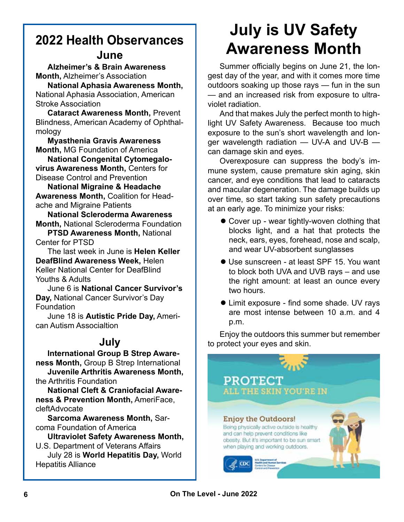## **2022 Health Observances**

### **June**

**Alzheimer's & Brain Awareness Month,** Alzheimer's Association **National Aphasia Awareness Month,**

National Aphasia Association, American Stroke Association

**Cataract Awareness Month,** Prevent Blindness, American Academy of Ophthalmology

**Myasthenia Gravis Awareness Month,** MG Foundation of America

**National Congenital Cytomegalovirus Awareness Month,** Centers for Disease Control and Prevention

**National Migraine & Headache Awareness Month,** Coalition for Headache and Migraine Patients

**National Scleroderma Awareness Month,** National Scleroderma Foundation

**PTSD Awareness Month,** National Center for PTSD

The last week in June is **Helen Keller DeafBlind Awareness Week,** Helen Keller National Center for DeafBlind Youths & Adults

June 6 is **National Cancer Survivor's Day,** National Cancer Survivor's Day Foundation

June 18 is **Autistic Pride Day,** American Autism Associaltion

### **July**

**International Group B Strep Awareness Month,** Group B Strep International **Juvenile Arthritis Awareness Month,**

the Arthritis Foundation

**National Cleft & Craniofacial Awareness & Prevention Month,** AmeriFace, cleftAdvocate

**Sarcoma Awareness Month,** Sarcoma Foundation of America

**Ultraviolet Safety Awareness Month,** U.S. Department of Veterans Affairs July 28 is **World Hepatitis Day,** World Hepatitis Alliance

# **July is UV Safety Awareness Month**

Summer officially begins on June 21, the longest day of the year, and with it comes more time outdoors soaking up those rays — fun in the sun — and an increased risk from exposure to ultraviolet radiation.

And that makes July the perfect month to highlight UV Safety Awareness. Because too much exposure to the sun's short wavelength and longer wavelength radiation — UV-A and UV-B can damage skin and eyes.

Overexposure can suppress the body's immune system, cause premature skin aging, skin cancer, and eye conditions that lead to cataracts and macular degeneration. The damage builds up over time, so start taking sun safety precautions at an early age. To minimize your risks:

- Cover up wear tightly-woven clothing that blocks light, and a hat that protects the neck, ears, eyes, forehead, nose and scalp, and wear UV-absorbent sunglasses
- Use sunscreen at least SPF 15. You want to block both UVA and UVB rays – and use the right amount: at least an ounce every two hours.
- **I.** Limit exposure find some shade. UV rays are most intense between 10 a.m. and 4 p.m.

Enjoy the outdoors this summer but remember to protect your eyes and skin.

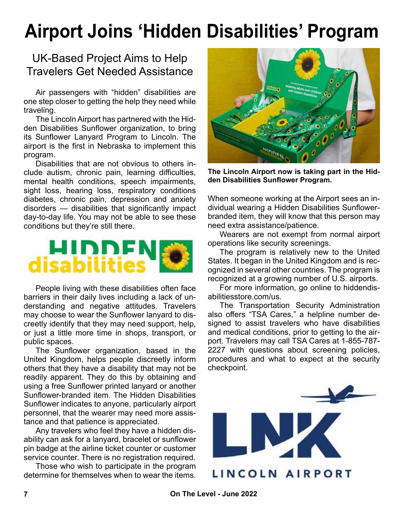# **Airport Joins 'Hidden Disabilities' Program**

### UK-Based Project Aims to Help Travelers Get Needed Assistance

Air passengers with "hidden" disabilities are one step closer to getting the help they need while traveling.

The Lincoln Airport has partnered with the Hidden Disabilities Sunflower organization, to bring its Sunflower Lanyard Program to Lincoln. The airport is the first in Nebraska to implement this program.

Disabilities that are not obvious to others include autism, chronic pain, learning difficulties, mental health conditions, speech impairments, sight loss, hearing loss, respiratory conditions diabetes, chronic pain, depression and anxiety disorders — disabilities that significantly impact day-to-day life. You may not be able to see these conditions but they're still there.



People living with these disabilities often face barriers in their daily lives including a lack of understanding and negative attitudes. Travelers may choose to wear the Sunflower lanyard to discreetly identify that they may need support, help, or just a little more time in shops, transport, or public spaces.

The Sunflower organization, based in the United Kingdom, helps people discreetly inform others that they have a disability that may not be readily apparent. They do this by obtaining and using a free Sunflower printed lanyard or another Sunflower-branded item. The Hidden Disabilities Sunflower indicates to anyone, particularly airport personnel, that the wearer may need more assistance and that patience is appreciated.

Any travelers who feel they have a hidden disability can ask for a lanyard, bracelet or sunflower pin badge at the airline ticket counter or customer service counter. There is no registration required.

Those who wish to participate in the program determine for themselves when to wear the items.



**The Lincoln Airport now is taking part in the Hidden Disabilities Sunflower Program.**

When someone working at the Airport sees an individual wearing a Hidden Disabilities Sunflowerbranded item, they will know that this person may need extra assistance/patience.

Wearers are not exempt from normal airport operations like security screenings.

The program is relatively new to the United States. It began in the United Kingdom and is recognized in several other countries. The program is recognized at a growing number of U.S. airports.

For more information, go online to hiddendisabilitiesstore.com/us.

The Transportation Security Administration also offers "TSA Cares," a helpline number designed to assist travelers who have disabilities and medical conditions, prior to getting to the airport. Travelers may call TSA Cares at 1-855-787- 2227 with questions about screening policies, procedures and what to expect at the security checkpoint.

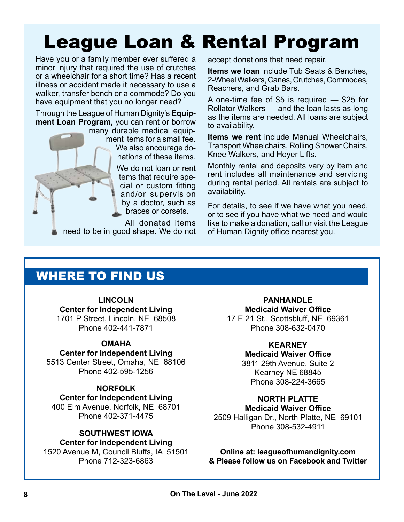# League Loan & Rental Program

Have you or a family member ever suffered a minor injury that required the use of crutches or a wheelchair for a short time? Has a recent illness or accident made it necessary to use a walker, transfer bench or a commode? Do you have equipment that you no longer need?

Through the League of Human Dignity's **Equipment Loan Program,** you can rent or borrow

> many durable medical equipment items for a small fee. We also encourage donations of these items.

> > We do not loan or rent items that require special or custom fitting and/or supervision by a doctor, such as braces or corsets.

All donated items need to be in good shape. We do not accept donations that need repair.

**Items we loan** include Tub Seats & Benches, 2-Wheel Walkers, Canes, Crutches, Commodes, Reachers, and Grab Bars.

A one-time fee of \$5 is required — \$25 for Rollator Walkers — and the loan lasts as long as the items are needed. All loans are subject to availability.

**Items we rent** include Manual Wheelchairs, Transport Wheelchairs, Rolling Shower Chairs, Knee Walkers, and Hoyer Lifts.

Monthly rental and deposits vary by item and rent includes all maintenance and servicing during rental period. All rentals are subject to availability.

For details, to see if we have what you need, or to see if you have what we need and would like to make a donation, call or visit the League of Human Dignity office nearest you.

### WHERE TO FIND US

**LINCOLN Center for Independent Living** 1701 P Street, Lincoln, NE 68508 Phone 402-441-7871

#### **OMAHA**

**Center for Independent Living**

5513 Center Street, Omaha, NE 68106 Phone 402-595-1256

#### **NORFOLK**

**Center for Independent Living**

400 Elm Avenue, Norfolk, NE 68701 Phone 402-371-4475

#### **SOUTHWEST IOWA**

**Center for Independent Living**

1520 Avenue M, Council Bluffs, IA 51501 Phone 712-323-6863

**PANHANDLE Medicaid Waiver Office** 17 E 21 St., Scottsbluff, NE 69361 Phone 308-632-0470

### **KEARNEY**

**Medicaid Waiver Office** 3811 29th Avenue, Suite 2 Kearney NE 68845 Phone 308-224-3665

### **NORTH PLATTE**

**Medicaid Waiver Office**

2509 Halligan Dr., North Platte, NE 69101 Phone 308-532-4911

**Online at: leagueofhumandignity.com & Please follow us on Facebook and Twitter**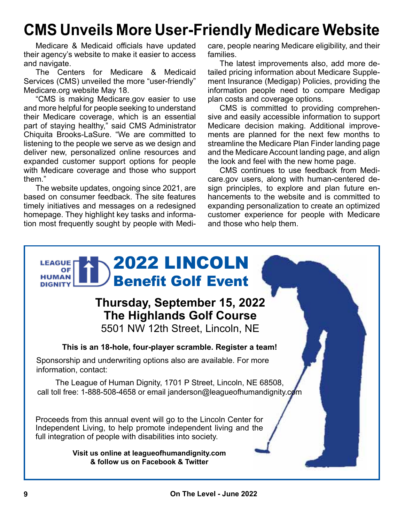## **CMS Unveils More User-Friendly Medicare Website**

Medicare & Medicaid officials have updated their agency's website to make it easier to access and navigate.

The Centers for Medicare & Medicaid Services (CMS) unveiled the more "user-friendly" Medicare.org website May 18.

"CMS is making Medicare.gov easier to use and more helpful for people seeking to understand their Medicare coverage, which is an essential part of staying healthy," said CMS Administrator Chiquita Brooks-LaSure. "We are committed to listening to the people we serve as we design and deliver new, personalized online resources and expanded customer support options for people with Medicare coverage and those who support them."

The website updates, ongoing since 2021, are based on consumer feedback. The site features timely initiatives and messages on a redesigned homepage. They highlight key tasks and information most frequently sought by people with Medicare, people nearing Medicare eligibility, and their families.

The latest improvements also, add more detailed pricing information about Medicare Supplement Insurance (Medigap) Policies, providing the information people need to compare Medigap plan costs and coverage options.

CMS is committed to providing comprehensive and easily accessible information to support Medicare decision making. Additional improvements are planned for the next few months to streamline the Medicare Plan Finder landing page and the Medicare Account landing page, and align the look and feel with the new home page.

CMS continues to use feedback from Medicare.gov users, along with human-centered design principles, to explore and plan future enhancements to the website and is committed to expanding personalization to create an optimized customer experience for people with Medicare and those who help them.

### 2022 LINCOLN **LEAGUE** OF **HUMAN** Benefit Golf Event**DIGNITY Thursday, September 15, 2022 The Highlands Golf Course** 5501 NW 12th Street, Lincoln, NE **This is an 18-hole, four-player scramble. Register a team!** Sponsorship and underwriting options also are available. For more information, contact: The League of Human Dignity, 1701 P Street, Lincoln, NE 68508, call toll free: 1-888-508-4658 or email janderson@leagueofhumandignity.com Proceeds from this annual event will go to the Lincoln Center for Independent Living, to help promote independent living and the full integration of people with disabilities into society. **Visit us online at leagueofhumandignity.com & follow us on Facebook & Twitter**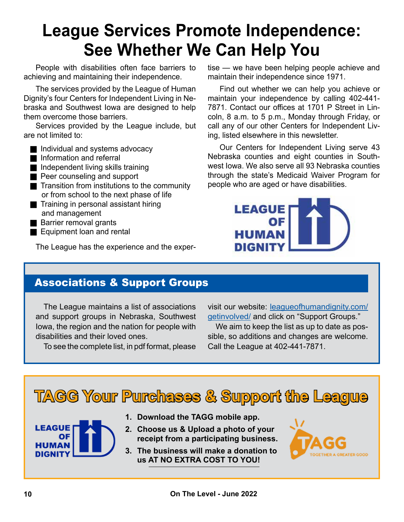# **League Services Promote Independence: See Whether We Can Help You**

People with disabilities often face barriers to achieving and maintaining their independence.

The services provided by the League of Human Dignity's four Centers for Independent Living in Nebraska and Southwest Iowa are designed to help them overcome those barriers.

Services provided by the League include, but are not limited to:

- Individual and systems advocacy
- **n** Information and referral
- $\blacksquare$  Independent living skills training
- **Peer counseling and support**
- $\blacksquare$  Transition from institutions to the community or from school to the next phase of life
- $\blacksquare$  Training in personal assistant hiring and management
- Barrier removal grants
- Equipment loan and rental

The League has the experience and the exper-

tise — we have been helping people achieve and maintain their independence since 1971.

Find out whether we can help you achieve or maintain your independence by calling 402-441- 7871. Contact our offices at 1701 P Street in Lincoln, 8 a.m. to 5 p.m., Monday through Friday, or call any of our other Centers for Independent Living, listed elsewhere in this newsletter.

Our Centers for Independent Living serve 43 Nebraska counties and eight counties in Southwest Iowa. We also serve all 93 Nebraska counties through the state's Medicaid Waiver Program for people who are aged or have disabilities.



### Associations & Support Groups

The League maintains a list of associations and support groups in Nebraska, Southwest Iowa, the region and the nation for people with disabilities and their loved ones.

To see the complete list, in pdf format, please

visit our website: [leagueofhumandignity.com/](http://leagueofhumandignity.com/get-involved/) [getinvolved/](http://leagueofhumandignity.com/get-involved/) and click on "Support Groups."

We aim to keep the list as up to date as possible, so additions and changes are welcome. Call the League at 402-441-7871.

# **TAGG Your Purchases & Support the League**

- **LEAGUE DIGNIT**
- **1. Download the TAGG mobile app.**
- **2. Choose us & Upload a photo of your receipt from a participating business.**
- **3. The business will make a donation to us AT NO EXTRA COST TO YOU!**

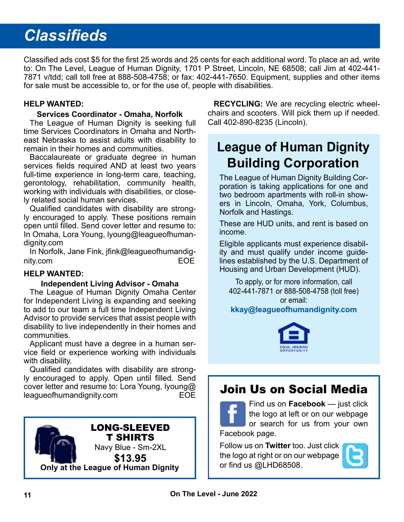# *Classifieds*

Classified ads cost \$5 for the first 25 words and 25 cents for each additional word. To place an ad, write to: On The Level, League of Human Dignity, 1701 P Street, Lincoln, NE 68508; call Jim at 402-441- 7871 v/tdd; call toll free at 888-508-4758; or fax: 402-441-7650. Equipment, supplies and other items for sale must be accessible to, or for the use of, people with disabilities.

#### **HELP WANTED:**

#### **Services Coordinator - Omaha, Norfolk**

The League of Human Dignity is seeking full time Services Coordinators in Omaha and Northeast Nebraska to assist adults with disability to remain in their homes and communities.

Baccalaureate or graduate degree in human services fields required AND at least two years full-time experience in long-term care, teaching, gerontology, rehabilitation, community health, working with individuals with disabilities, or closely related social human services.

Qualified candidates with disability are strongly encouraged to apply. These positions remain open until filled. Send cover letter and resume to: In Omaha, Lora Young, lyoung@leagueofhumandignity.com

In Norfolk, Jane Fink, jfink@leagueofhumandignity.com EOE

#### **HELP WANTED:**

#### **Independent Living Advisor - Omaha**

The League of Human Dignity Omaha Center for Independent Living is expanding and seeking to add to our team a full time Independent Living Advisor to provide services that assist people with disability to live independently in their homes and communities.

Applicant must have a degree in a human service field or experience working with individuals with disability.

Qualified candidates with disability are strongly encouraged to apply. Open until filled. Send cover letter and resume to: Lora Young, lyoung@ leagueofhumandignity.com EOE



**RECYCLING:** We are recycling electric wheelchairs and scooters. Will pick them up if needed. Call 402-890-8235 (Lincoln).

### **League of Human Dignity Building Corporation**

The League of Human Dignity Building Corporation is taking applications for one and two bedroom apartments with roll-in showers in Lincoln, Omaha, York, Columbus, Norfolk and Hastings.

These are HUD units, and rent is based on income.

Eligible applicants must experience disability and must qualify under income guidelines established by the U.S. Department of Housing and Urban Development (HUD).

To apply, or for more information, call 402-441-7871 or 888-508-4758 (toll free) or email: **[kkay@leagueofhumandignity.com](mailto:kkay%40leagueofhumandignity.com?subject=Housing)**



### Join Us on Social Media

Find us on **Facebook** — just click the logo at left or on our webpage or search for us from your own Facebook page.

Follow us on **Twitter** too. Just click the logo at right or on our webpage or find us @LHD68508.